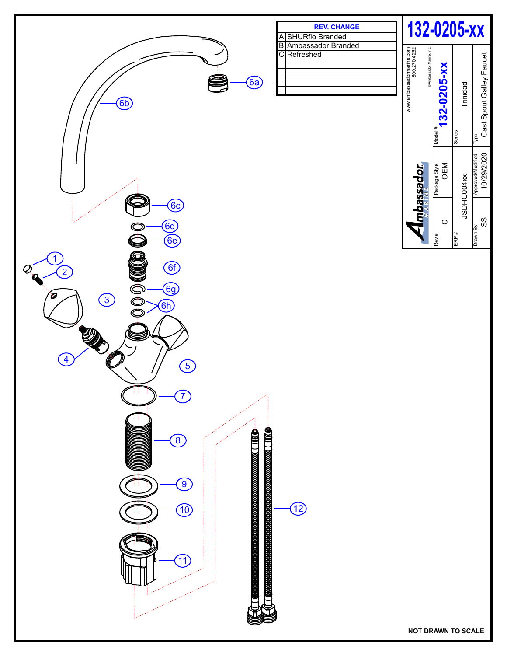